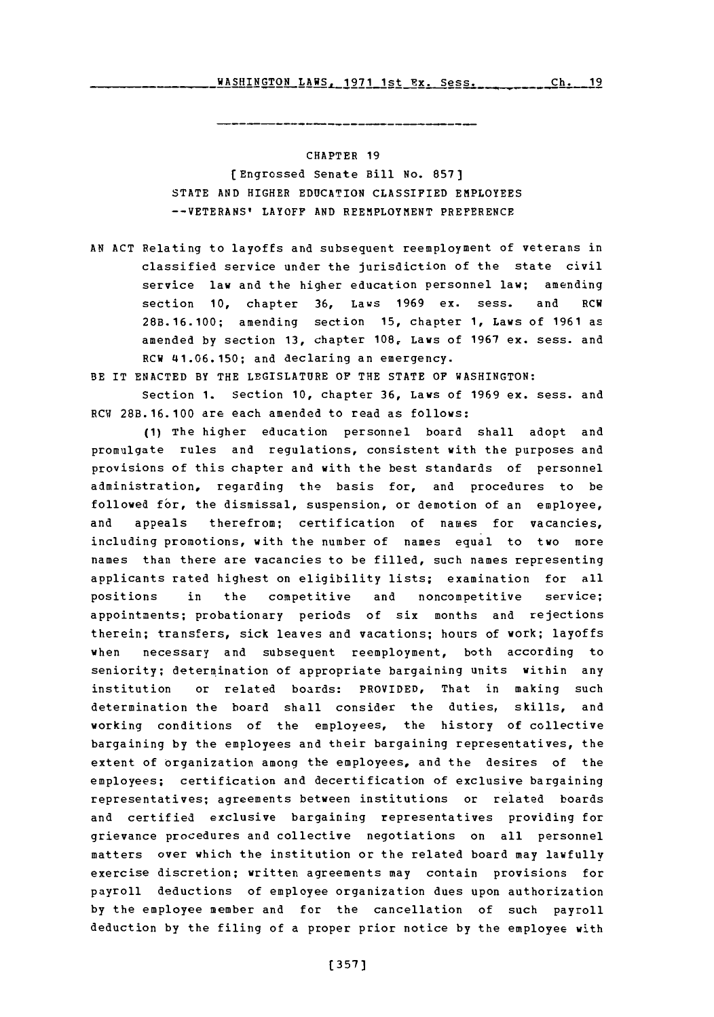WASHINGTON LAWS. 1971 1st Tx. Sess. **Ch 19 Ch 19** WASHINGTON LAWS, **1971** 1st Ex. Sess.

**--- - ------ -----**

## CHAPTER **19**

( Engrossed Senate Bill No. **857) STATE AND** HIGHER **EDUCATION** CLASSIFIED EMPLOYEES **-- VETERANS'** LAYOFF **AND** REEMPLOYMENT PREFERENCE

- **AN ACT** Relating to layoffs and subsequent reemployment of veterans in classified service under the jurisdiction of the state civil service law and the higher education personnel law; amending section **10,** chapter **36,** Laws **1969** ex. sess. and RCW **28B.16.100;** amending section **15,** chapter **1,** Laws of **1961** as amended **by** section **13,** chapter **108,** Laws of **1967** ex. sess. and RCW 41.06.150; and declaring an emergency.
- BE IT **ENACTED** BY THE LEGISLATURE OF THE **STATE** OF WASHINGTON:

Section **1.** Section **10,** chapter **36,** Laws of **1969** ex. sess. and RCW **28B.16.100** are each amended to read as follows:

**(1)** The higher education personnel board shall adopt and promulgate rules and regulations, consistent with the purposes and provisions of this chapter and with the best standards of personnel administration, regarding the basis for, and procedures to be followed for, the dismissal, suspension, or demotion of an employee, and appeals therefrom; certification of names for vacancies, including promotions, with the number of names equal to two more names than there are vacancies to be filled, such names representing applicants rated highest on eligibility lists; examination for all positions in the competitive and noncompetitive service; appointments; probationary periods of six months and rejections therein; transfers, sick leaves and vacations; hours of work; layoffs when necessary and subsequent reemployment, both according to seniority; determination of appropriate bargaining units within any institution or related boards: PROVIDED, That in making such determination the board shall consider the duties, skills, and working conditions of the employees, the history of collective bargaining **by** the employees and their bargaining representatives, the extent of organization among the employees, and the desires of the employees; certification and decertification of exclusive bargaining representatives; agreements between institutions or related boards and certified exclusive bargaining representatives providing for grievance procedures and collective negotiations on all personnel matters over which the institution or the related board may lawfully exercise discretion; written agreements may contain provisions for payroll deductions of employee organization dues upon authorization **by** the employee member and for the cancellation of such payroll deduction **by** the filing of a proper prior notice **by** the employee with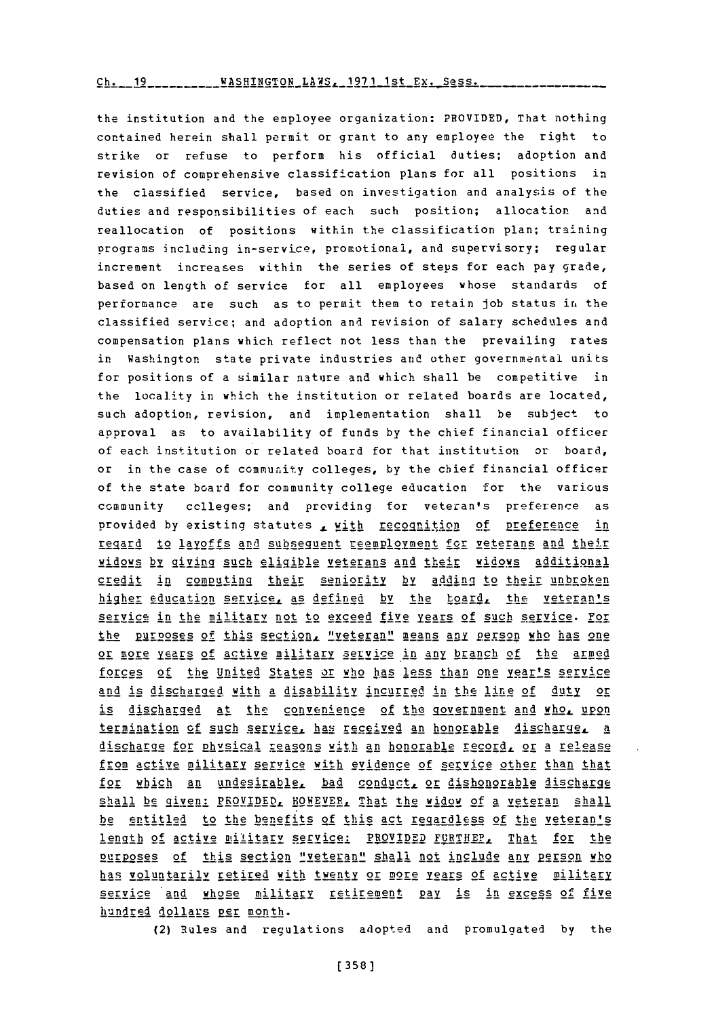the institution and the employee organization: PROVIDED, That nothing contained herein shall permit or grant to any employee the right to strike or refuse to perform his official duties; adoption and revision of comprehensive classification plans for all positions in the classified service, based on investigation and analysis of the duties and responsibilities of each such position; allocation and reallocation of positions within the classification plan; training programs including in-service, promotional, and supervisory; regular increment increases within the series of steps for each pay grade, based on length of service for all employees whose standards of performance are such as to permit them to retain **job** status in the classified service; and adoption and revision of salary schedules and compensation plans which reflect not less than the prevailing rates in Washington state private industries and other governmental units for positions of a similar nature and which shall be competitive in the locality in which the institution or related boards are located, such adoption, revision, and implementation shall be subject to approval as to availability of funds **by** the chief financial officer of each institution or related board for that institution or board, or in the case of community colleges, **by** the chief financial officer of the state board for community college education for the various community colleges; and providing for veteran's preference as provided by existing statutes <u>, with recognition of preference in</u> regard to layoffs and subsequent reemployment for veterans and their widows by giving such eligible veterans and their widows additional credit in computing their seniority **by** addinfi to their unbroken higher education service, as defined by the board, the veteran's service in the military not to exceed five years of such service. For the purposes of this section, "veteran" means any person who has one or more years of active military service in any branch of the armed forces of the United States or who has less than one year's service and is discharged with a disability incurred in the line of duty or is discharged at the convenience of the government and whol upon termination of such service, has received an honorable discharge, a discharge for physical reasons with an honorable record, or a release from active military service with evidence of service other than that for which an undesirable, bad conduct, or dishonorable discharge shall be given: PROVIDED, HOWEVER, That the widow of a veteran shall be entitled to the benefits of this act reqgardless of the veteran's lenth **of** active atilitary servyice: PROVIDED FURTHEP, That for the purposes of this section "veteran" shall not include any person who has voluntarily retired with twenty or more years of active military service and whose military retirement pay is in excess of five hundred dollars per month.

(2) Rules and regulations adopted and promulgated **by** the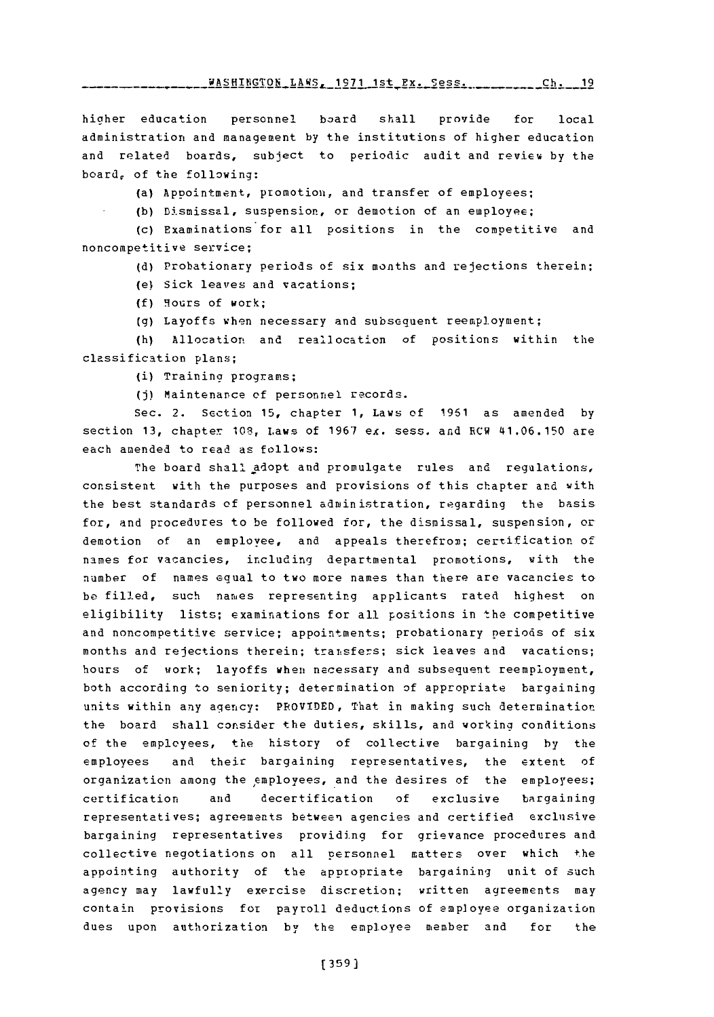WASHINGTON\_LAWS, 1971\_1st\_Ex. Sess. ............Ch. 19

hicher education personnel board shall provide for local administration and management **by** the institutions of higher education and related boards, subject to periodic audit and review **by** the board, of the following:

(a) Appointment, promotion, and transfer of employees;

(b) Dismissal, suspension, or demotion of an employee;

(c) Examinations for all positions in the competitive and noncompetitive service;

**(d)** Probationary periods of six months and rejections therein;

(e) Sick leaves and vacations;

**(f)** 9ours of work;

**(g)** Layoffs when necessary and subsequent reempl.oyment;

(h) Allocation and reall ocation of positions within the classification plans;

(i) Training programs;

**(j)** Maintenance of personnel records.

Sec. 2. Section **15,** chapter **1,** Laws of **1961** as amended **by** section **13,** chapter **108,** Laws of **1967** ex. sess. and RCW 41.06.150 are each amended to read as follows:

The board shall adopt and promulgate rules and regulations, consistent with the purposes and provisions of this chapter and with the best standards **of** personnel administration, regarding the basis for, and procedures to be followed for, the dismissal, suspension, **or** demotion of an employee, and appeals therefrom; certification of names for vacancies, including departmental promotions, with the number of names equal to two more names than there are vacancies to be filled, such names representing applicants rated highest on eligibility lists; examinations for all positions in the competitive and noncompetitive service; appointments; probationary periods of six months and rejections therein; transfers; sick leaves and vacations; hours of work; layoffs when necessary and subsequent reemployment, both according to seniority; determination of appropriate bargaining units within any agency: PROVIDED, That in making such determination the board shall consider the duties, skills, and working conditions of the employees, the history of collective bargaining **by** the employees and their bargaining representatives, the extent of organization among the employees, and the desires of the employees; certification and decertification **of** exclusive bargaining representatives; agreements between agencies and certified exclusive bargaining representatives providing for grievance procedures and collective negotiations on all personnel matters over which the appointing authority of the appropriate bargaining unit of such agency may lawfully exercise discretion; written agreements may contain provisions for payroll deductions of employee organization dues upon authorization by the employee member and for the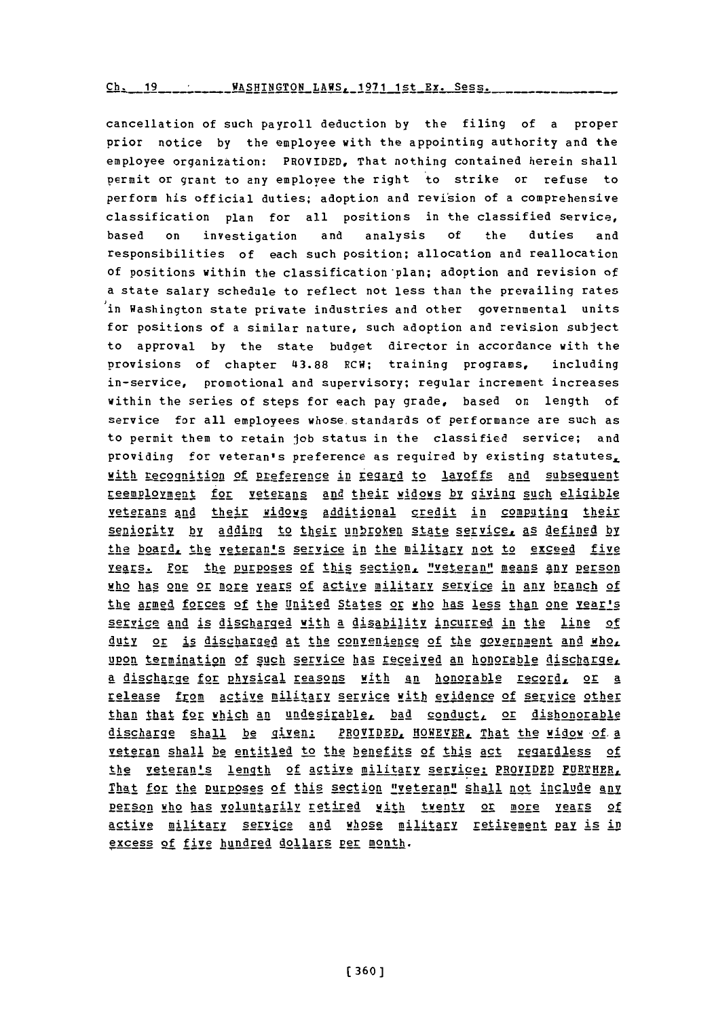Ch. 19 \_\_\_\_\_\_\_\_ WASHINGTON\_LAWS, 1971 1st\_Ex. Sess.

cancellation of such payroll deduction by the filing of a proper prior notice by the employee with the appointing authority and the employee organization: PROVIDED, That nothing contained herein shall permit or grant to any employee the right to strike or refuse to perform his official duties; adoption and revision of a comprehensive classification plan for all positions in the classified service, analysis of the duties based  $\mathbf{o}$ n investigation and responsibilities of each such position; allocation and reallocation of positions within the classification plan; adoption and revision of a state salary schedule to reflect not less than the prevailing rates in Washington state private industries and other governmental units for positions of a similar nature, such adoption and revision subject to approval by the state budget director in accordance with the provisions of chapter 43.88 RCW; training programs, including in-service, promotional and supervisory; regular increment increases within the series of steps for each pay grade, based on length of service for all employees whose standards of performance are such as to permit them to retain job status in the classified service; and providing for veteran's preference as required by existing statutes, with recognition of preference in regard to lavoffs and subsequent reemployment for veterans and their widows by giving such eligible veterans and their widows additional credit in computing their seniority by adding to their unbroken state service, as defined by the board, the veteran's service in the military not to exceed five Years. For the purposes of this section, "veteran" means any person who has one or more years of active military service in any branch of the armed forces of the United States or who has less than one rearls service and is discharged with a disability incurred in the line of duty or is discharged at the convenience of the government and who. upon termination of such service has received an honorable discharge. a discharge for physical reasons with an honorable record, or a release from active military service with evidence of service other than that for which an undesirable, bad conduct, or dishonorable discharge shall be given: PROVIDED, HOWEVER, That the widow of a veteran shall be entitled to the benefits of this act regardless of the veteran's length of active military service: PROVIDED FURTHER. That for the purposes of this section "veteran" shall not include any person who has voluntarily retired with twenty or more years of active military service and whose military retirement pay is in excess of five hundred dollars per month.